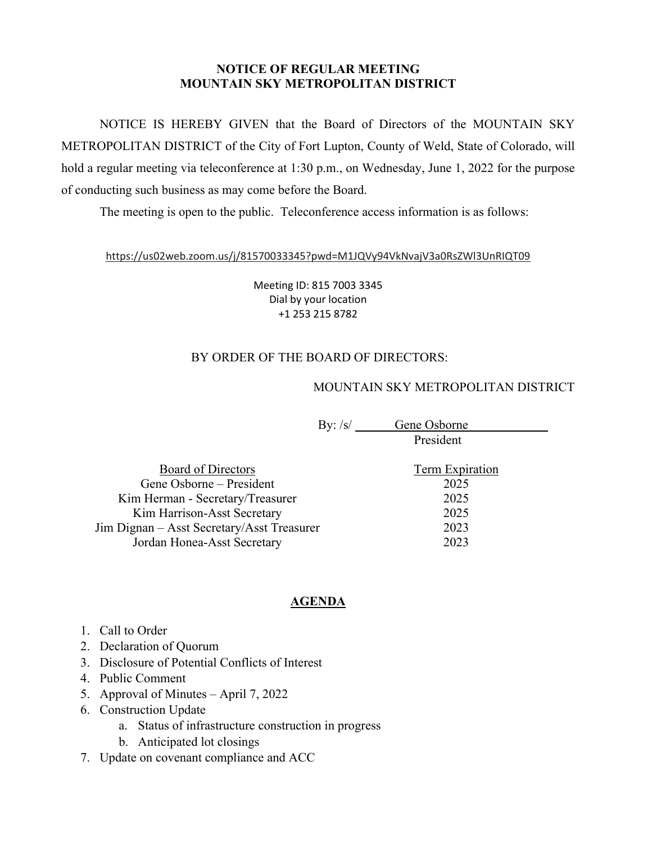### **NOTICE OF REGULAR MEETING MOUNTAIN SKY METROPOLITAN DISTRICT**

NOTICE IS HEREBY GIVEN that the Board of Directors of the MOUNTAIN SKY METROPOLITAN DISTRICT of the City of Fort Lupton, County of Weld, State of Colorado, will hold a regular meeting via teleconference at 1:30 p.m., on Wednesday, June 1, 2022 for the purpose of conducting such business as may come before the Board.

The meeting is open to the public. Teleconference access information is as follows:

### https://us02web.zoom.us/j/81570033345?pwd=M1JQVy94VkNvajV3a0RsZWl3UnRIQT09

Meeting ID: 815 7003 3345 Dial by your location +1 253 215 8782

# BY ORDER OF THE BOARD OF DIRECTORS:

# MOUNTAIN SKY METROPOLITAN DISTRICT

By: /s/ Gene Osborne President

| Board of Directors                         | Term Expiration |
|--------------------------------------------|-----------------|
| Gene Osborne – President                   | 2025            |
| Kim Herman - Secretary/Treasurer           | 2025            |
| Kim Harrison-Asst Secretary                | 2025            |
| Jim Dignan – Asst Secretary/Asst Treasurer | 2023            |
| Jordan Honea-Asst Secretary                | 2023            |
|                                            |                 |

# **AGENDA**

- 1. Call to Order
- 2. Declaration of Quorum
- 3. Disclosure of Potential Conflicts of Interest
- 4. Public Comment
- 5. Approval of Minutes April 7, 2022
- 6. Construction Update
	- a. Status of infrastructure construction in progress
	- b. Anticipated lot closings
- 7. Update on covenant compliance and ACC